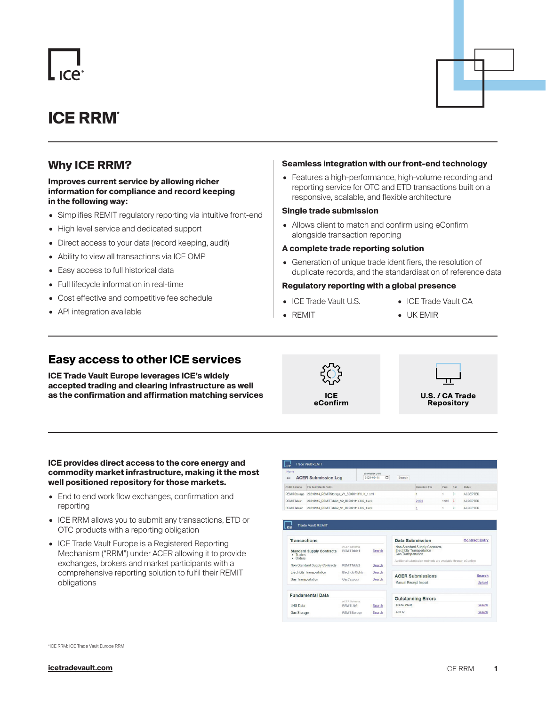# **ICE RRM\***

## **Why ICE RRM?**

### **Improves current service by allowing richer information for compliance and record keeping in the following way:**

- Simplifies REMIT regulatory reporting via intuitive front-end
- High level service and dedicated support
- Direct access to your data (record keeping, audit)
- Ability to view all transactions via ICE OMP
- Easy access to full historical data
- Full lifecycle information in real-time
- Cost effective and competitive fee schedule
- API integration available

### **Seamless integration with our front-end technology**

• Features a high-performance, high-volume recording and reporting service for OTC and ETD transactions built on a responsive, scalable, and flexible architecture

### **Single trade submission**

• Allows client to match and confirm using eConfirm alongside transaction reporting

### **A complete trade reporting solution**

• Generation of unique trade identifiers, the resolution of duplicate records, and the standardisation of reference data

### **Regulatory reporting with a global presence**

- ICE Trade Vault U.S.
- REMIT
- ICE Trade Vault CA
- UK EMIR

### **Easy access to other ICE services**

**ICE Trade Vault Europe leverages ICE's widely accepted trading and clearing infrastructure as well as the confirmation and affirmation matching services ICE** 





#### **ICE provides direct access to the core energy and commodity market infrastructure, making it the most well positioned repository for those markets.**

- End to end work flow exchanges, confirmation and reporting
- ICE RRM allows you to submit any transactions, ETD or OTC products with a reporting obligation
- ICE Trade Vault Europe is a Registered Reporting Mechanism ("RRM") under ACER allowing it to provide exchanges, brokers and market participants with a comprehensive reporting solution to fulfil their REMIT obligations

| Home<br>$\leftarrow$ | <b>ACER Submission Log</b>                  | Submission Date<br>$\Box$<br><b>Search</b><br>2021-09-14 |       |                |                 |  |
|----------------------|---------------------------------------------|----------------------------------------------------------|-------|----------------|-----------------|--|
| <b>AGER Schema</b>   | File Submitted to ACER                      | Records in File                                          | Pass  | Fall           | <b>Status</b>   |  |
| <b>REMITStorage</b>  | 20210914 REMITStorage V1 B0000111Y.UK 1.xml |                                                          |       | 0              | <b>ACCEPTED</b> |  |
| REMITTable1          | 20210915_REMITTable1_V2_B0000111Y.UK_1.xml  | 2,000                                                    | 1.997 | $\overline{3}$ | <b>ACCEPTED</b> |  |
| REMITTable2          | 20210914 REMITTable2 V1 B0000111Y.UK 1.xml  |                                                          |       | $\mathbf{0}$   | <b>ACCEPTED</b> |  |

| <b>Transactions</b>                                      |                                       |        | <b>Data Submission</b>                                                                                                                                          | <b>Contract Entry</b> |
|----------------------------------------------------------|---------------------------------------|--------|-----------------------------------------------------------------------------------------------------------------------------------------------------------------|-----------------------|
| <b>Standard Supply Contracts</b><br>· Trades<br>· Orders | <b>ACFR Schema</b><br>REMITTable1     | Search | Non-Standard Supply Contracts<br><b>Electricity Transportation</b><br><b>Gas Transportation</b><br>Additional submission methods are available through eConfirm |                       |
| Non-Standard Supply Contracts                            | RFMITTable2                           | Search |                                                                                                                                                                 |                       |
| <b>Electricity Transportation</b>                        | ElectricityRights                     | Search | <b>ACER Submissions</b>                                                                                                                                         | Search                |
| <b>Gas Transportation</b>                                | GasCapacity                           | Search |                                                                                                                                                                 |                       |
|                                                          |                                       |        | <b>Manual Receipt Import</b>                                                                                                                                    | Upload                |
| <b>Fundamental Data</b>                                  |                                       |        | <b>Outstanding Errors</b>                                                                                                                                       |                       |
| <b>LNG Data</b>                                          | <b>ACFR Schema</b><br><b>REMITLNG</b> | Search | <b>Trade Vault</b>                                                                                                                                              | Search                |
|                                                          |                                       |        |                                                                                                                                                                 |                       |
| Gas Storage                                              | <b>REMITStorage</b>                   | Search | <b>ACER</b>                                                                                                                                                     | Search                |

\*ICE RRM: ICE Trade Vault Europe RRM